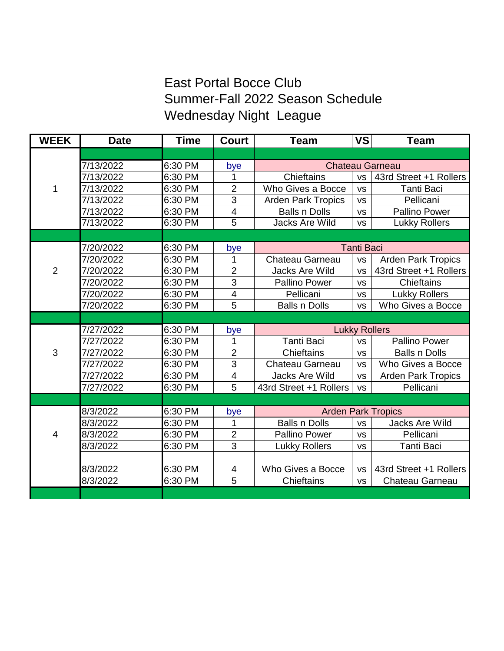## East Portal Bocce Club Summer-Fall 2022 Season Schedule Wednesday Night League

| <b>WEEK</b>              | <b>Date</b> | <b>Time</b> | <b>Court</b>             | <b>Team</b>               | <b>VS</b> | <b>Team</b>               |
|--------------------------|-------------|-------------|--------------------------|---------------------------|-----------|---------------------------|
|                          |             |             |                          |                           |           |                           |
|                          | 7/13/2022   | 6:30 PM     | bye                      | <b>Chateau Garneau</b>    |           |                           |
|                          | 7/13/2022   | 6:30 PM     | 1                        | Chieftains                | <b>VS</b> | 43rd Street +1 Rollers    |
| 1                        | 7/13/2022   | 6:30 PM     | $\overline{2}$           | Who Gives a Bocce         | <b>VS</b> | <b>Tanti Baci</b>         |
|                          | 7/13/2022   | 6:30 PM     | 3                        | <b>Arden Park Tropics</b> | <b>VS</b> | Pellicani                 |
|                          | 7/13/2022   | 6:30 PM     | $\overline{\mathcal{A}}$ | <b>Balls n Dolls</b>      | <b>VS</b> | <b>Pallino Power</b>      |
|                          | 7/13/2022   | 6:30 PM     | $\overline{5}$           | Jacks Are Wild            | <b>VS</b> | Lukky Rollers             |
|                          |             |             |                          |                           |           |                           |
|                          | 7/20/2022   | 6:30 PM     | bye                      | <b>Tanti Baci</b>         |           |                           |
|                          | 7/20/2022   | 6:30 PM     | 1                        | <b>Chateau Garneau</b>    | <b>VS</b> | <b>Arden Park Tropics</b> |
| $\overline{2}$           | 7/20/2022   | 6:30 PM     | $\overline{2}$           | <b>Jacks Are Wild</b>     | <b>VS</b> | 43rd Street +1 Rollers    |
|                          | 7/20/2022   | 6:30 PM     | 3                        | <b>Pallino Power</b>      | <b>VS</b> | <b>Chieftains</b>         |
|                          | 7/20/2022   | 6:30 PM     | $\overline{\mathbf{4}}$  | Pellicani                 | <b>VS</b> | <b>Lukky Rollers</b>      |
|                          | 7/20/2022   | 6:30 PM     | 5                        | <b>Balls n Dolls</b>      | <b>VS</b> | Who Gives a Bocce         |
|                          |             |             |                          |                           |           |                           |
|                          | 7/27/2022   | 6:30 PM     | bye                      | <b>Lukky Rollers</b>      |           |                           |
|                          | 7/27/2022   | 6:30 PM     | 1                        | <b>Tanti Baci</b>         | <b>VS</b> | <b>Pallino Power</b>      |
| 3                        | 7/27/2022   | 6:30 PM     | $\overline{2}$           | <b>Chieftains</b>         | <b>VS</b> | <b>Balls n Dolls</b>      |
|                          | 7/27/2022   | 6:30 PM     | 3                        | Chateau Garneau           | <b>VS</b> | Who Gives a Bocce         |
|                          | 7/27/2022   | 6:30 PM     | $\overline{\mathbf{4}}$  | <b>Jacks Are Wild</b>     | <b>VS</b> | Arden Park Tropics        |
|                          | 7/27/2022   | 6:30 PM     | 5                        | 43rd Street +1 Rollers    | <b>VS</b> | Pellicani                 |
|                          |             |             |                          |                           |           |                           |
|                          | 8/3/2022    | 6:30 PM     | bye                      | <b>Arden Park Tropics</b> |           |                           |
|                          | 8/3/2022    | 6:30 PM     | 1                        | <b>Balls n Dolls</b>      | <b>VS</b> | <b>Jacks Are Wild</b>     |
| $\overline{\mathcal{A}}$ | 8/3/2022    | 6:30 PM     | $\overline{2}$           | Pallino Power             | <b>VS</b> | Pellicani                 |
|                          | 8/3/2022    | 6:30 PM     | 3                        | <b>Lukky Rollers</b>      | <b>VS</b> | <b>Tanti Baci</b>         |
|                          |             |             |                          |                           |           |                           |
|                          | 8/3/2022    | 6:30 PM     | 4                        | Who Gives a Bocce         | <b>VS</b> | 43rd Street +1 Rollers    |
|                          | 8/3/2022    | 6:30 PM     | 5                        | Chieftains                | <b>VS</b> | Chateau Garneau           |
|                          |             |             |                          |                           |           |                           |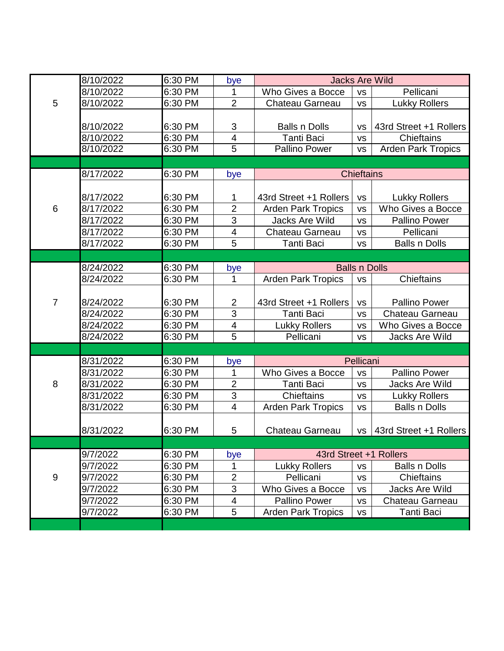|                | 8/10/2022 | 6:30 PM | bye                      | <b>Jacks Are Wild</b>     |                      |                        |  |
|----------------|-----------|---------|--------------------------|---------------------------|----------------------|------------------------|--|
| 5              | 8/10/2022 | 6:30 PM | 1                        | Who Gives a Bocce         | <b>VS</b>            | Pellicani              |  |
|                | 8/10/2022 | 6:30 PM | $\overline{2}$           | Chateau Garneau           | <b>VS</b>            | <b>Lukky Rollers</b>   |  |
|                |           |         |                          |                           |                      |                        |  |
|                | 8/10/2022 | 6:30 PM | 3                        | <b>Balls n Dolls</b>      | <b>VS</b>            | 43rd Street +1 Rollers |  |
|                | 8/10/2022 | 6:30 PM | $\overline{\mathcal{A}}$ | <b>Tanti Baci</b>         | <b>VS</b>            | Chieftains             |  |
|                | 8/10/2022 | 6:30 PM | $\overline{5}$           | <b>Pallino Power</b>      | <b>VS</b>            | Arden Park Tropics     |  |
|                |           |         |                          |                           |                      |                        |  |
|                | 8/17/2022 | 6:30 PM | bye                      | <b>Chieftains</b>         |                      |                        |  |
|                |           |         |                          |                           |                      |                        |  |
|                | 8/17/2022 | 6:30 PM | 1                        | 43rd Street +1 Rollers    | <b>VS</b>            | <b>Lukky Rollers</b>   |  |
| 6              | 8/17/2022 | 6:30 PM | $\overline{2}$           | <b>Arden Park Tropics</b> | <b>VS</b>            | Who Gives a Bocce      |  |
|                | 8/17/2022 | 6:30 PM | 3                        | <b>Jacks Are Wild</b>     | <b>VS</b>            | <b>Pallino Power</b>   |  |
|                | 8/17/2022 | 6:30 PM | $\overline{\mathbf{4}}$  | Chateau Garneau           | <b>VS</b>            | Pellicani              |  |
|                | 8/17/2022 | 6:30 PM | 5                        | <b>Tanti Baci</b>         | <b>VS</b>            | <b>Balls n Dolls</b>   |  |
|                |           |         |                          |                           |                      |                        |  |
|                | 8/24/2022 | 6:30 PM | bye                      |                           | <b>Balls n Dolls</b> |                        |  |
|                | 8/24/2022 | 6:30 PM | 1                        | <b>Arden Park Tropics</b> | <b>VS</b>            | Chieftains             |  |
|                |           |         |                          |                           |                      |                        |  |
| $\overline{7}$ | 8/24/2022 | 6:30 PM | $\overline{2}$           | 43rd Street +1 Rollers    | <b>VS</b>            | <b>Pallino Power</b>   |  |
|                | 8/24/2022 | 6:30 PM | 3                        | <b>Tanti Baci</b>         | <b>VS</b>            | Chateau Garneau        |  |
|                | 8/24/2022 | 6:30 PM | 4                        | <b>Lukky Rollers</b>      | <b>VS</b>            | Who Gives a Bocce      |  |
|                | 8/24/2022 | 6:30 PM | 5                        | Pellicani                 | <b>VS</b>            | <b>Jacks Are Wild</b>  |  |
|                |           |         |                          |                           |                      |                        |  |
|                | 8/31/2022 | 6:30 PM | bye                      |                           | Pellicani            |                        |  |
|                | 8/31/2022 | 6:30 PM | 1                        | Who Gives a Bocce         | <b>VS</b>            | <b>Pallino Power</b>   |  |
| 8              | 8/31/2022 | 6:30 PM | $\overline{2}$           | <b>Tanti Baci</b>         | <b>VS</b>            | <b>Jacks Are Wild</b>  |  |
|                | 8/31/2022 | 6:30 PM | 3                        | <b>Chieftains</b>         | <b>VS</b>            | <b>Lukky Rollers</b>   |  |
|                | 8/31/2022 | 6:30 PM | $\overline{\mathbf{4}}$  | <b>Arden Park Tropics</b> | <b>VS</b>            | <b>Balls n Dolls</b>   |  |
|                |           |         |                          |                           |                      |                        |  |
|                | 8/31/2022 | 6:30 PM | 5                        | Chateau Garneau           | <b>VS</b>            | 43rd Street +1 Rollers |  |
|                |           |         |                          |                           |                      |                        |  |
| $9\,$          | 9/7/2022  | 6:30 PM | bye                      |                           |                      | 43rd Street +1 Rollers |  |
|                | 9/7/2022  | 6:30 PM | 1                        | <b>Lukky Rollers</b>      | <b>VS</b>            | <b>Balls n Dolls</b>   |  |
|                | 9/7/2022  | 6:30 PM | $\overline{2}$           | Pellicani                 | <b>VS</b>            | Chieftains             |  |
|                | 9/7/2022  | 6:30 PM | 3                        | Who Gives a Bocce         | <b>VS</b>            | Jacks Are Wild         |  |
|                | 9/7/2022  | 6:30 PM | 4                        | <b>Pallino Power</b>      | <b>VS</b>            | Chateau Garneau        |  |
|                | 9/7/2022  | 6:30 PM | 5                        | <b>Arden Park Tropics</b> | <b>VS</b>            | Tanti Baci             |  |
|                |           |         |                          |                           |                      |                        |  |